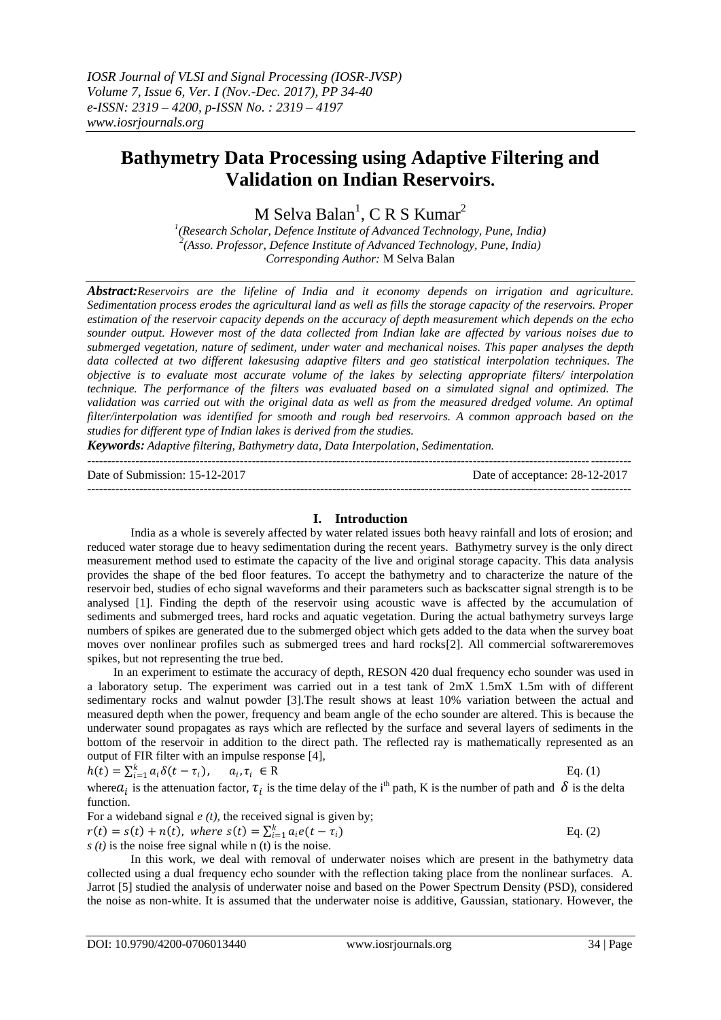# **Bathymetry Data Processing using Adaptive Filtering and Validation on Indian Reservoirs.**

M Selva Balan<sup>1</sup>, C R S Kumar<sup>2</sup>

*1 (Research Scholar, Defence Institute of Advanced Technology, Pune, India) 2 (Asso. Professor, Defence Institute of Advanced Technology, Pune, India) Corresponding Author:* M Selva Balan

*Abstract:Reservoirs are the lifeline of India and it economy depends on irrigation and agriculture. Sedimentation process erodes the agricultural land as well as fills the storage capacity of the reservoirs. Proper estimation of the reservoir capacity depends on the accuracy of depth measurement which depends on the echo sounder output. However most of the data collected from Indian lake are affected by various noises due to submerged vegetation, nature of sediment, under water and mechanical noises. This paper analyses the depth data collected at two different lakesusing adaptive filters and geo statistical interpolation techniques. The objective is to evaluate most accurate volume of the lakes by selecting appropriate filters/ interpolation technique. The performance of the filters was evaluated based on a simulated signal and optimized. The validation was carried out with the original data as well as from the measured dredged volume. An optimal filter/interpolation was identified for smooth and rough bed reservoirs. A common approach based on the studies for different type of Indian lakes is derived from the studies.*

*Keywords: Adaptive filtering, Bathymetry data, Data Interpolation, Sedimentation.*

| Date of Submission: 15-12-2017 | Date of acceptance: 28-12-2017 |
|--------------------------------|--------------------------------|
|                                |                                |

# **I. Introduction**

India as a whole is severely affected by water related issues both heavy rainfall and lots of erosion; and reduced water storage due to heavy sedimentation during the recent years. Bathymetry survey is the only direct measurement method used to estimate the capacity of the live and original storage capacity. This data analysis provides the shape of the bed floor features. To accept the bathymetry and to characterize the nature of the reservoir bed, studies of echo signal waveforms and their parameters such as backscatter signal strength is to be analysed [1]. Finding the depth of the reservoir using acoustic wave is affected by the accumulation of sediments and submerged trees, hard rocks and aquatic vegetation. During the actual bathymetry surveys large numbers of spikes are generated due to the submerged object which gets added to the data when the survey boat moves over nonlinear profiles such as submerged trees and hard rocks[2]. All commercial softwareremoves spikes, but not representing the true bed.

In an experiment to estimate the accuracy of depth, RESON 420 dual frequency echo sounder was used in a laboratory setup. The experiment was carried out in a test tank of 2mX 1.5mX 1.5m with of different sedimentary rocks and walnut powder [3].The result shows at least 10% variation between the actual and measured depth when the power, frequency and beam angle of the echo sounder are altered. This is because the underwater sound propagates as rays which are reflected by the surface and several layers of sediments in the bottom of the reservoir in addition to the direct path. The reflected ray is mathematically represented as an output of FIR filter with an impulse response [4],

$$
h(t) = \sum_{i=1}^{k} a_i \delta(t - \tau_i), \qquad a_i, \tau_i \in \mathbb{R}
$$
 Eq. (1)

where  $a_i$  is the attenuation factor,  $\tau_i$  is the time delay of the i<sup>th</sup> path, K is the number of path and  $\delta$  is the delta function.

For a wideband signal *e (t),* the received signal is given by;

 $r(t) = s(t) + n(t)$ , where  $s(t) = \sum_{i=1}^{k} a_i e(t - \tau_i)$  Eq. (2)

 $s(t)$  is the noise free signal while n (t) is the noise.

In this work, we deal with removal of underwater noises which are present in the bathymetry data collected using a dual frequency echo sounder with the reflection taking place from the nonlinear surfaces. A. Jarrot [5] studied the analysis of underwater noise and based on the Power Spectrum Density (PSD), considered the noise as non-white. It is assumed that the underwater noise is additive, Gaussian, stationary. However, the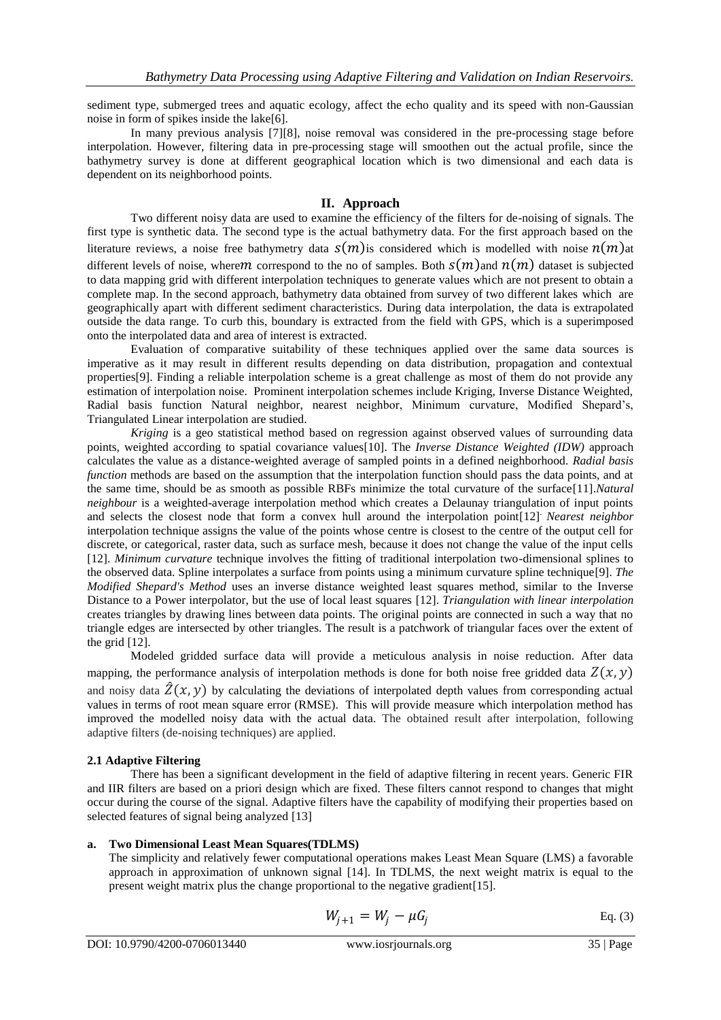sediment type, submerged trees and aquatic ecology, affect the echo quality and its speed with non-Gaussian noise in form of spikes inside the lake[6].

In many previous analysis [7][8], noise removal was considered in the pre-processing stage before interpolation. However, filtering data in pre-processing stage will smoothen out the actual profile, since the bathymetry survey is done at different geographical location which is two dimensional and each data is dependent on its neighborhood points.

## **II. Approach**

Two different noisy data are used to examine the efficiency of the filters for de-noising of signals. The first type is synthetic data. The second type is the actual bathymetry data. For the first approach based on the literature reviews, a noise free bathymetry data  $s(m)$  is considered which is modelled with noise  $n(m)$ at different levels of noise, where m correspond to the no of samples. Both  $S(m)$  and  $n(m)$  dataset is subjected to data mapping grid with different interpolation techniques to generate values which are not present to obtain a complete map. In the second approach, bathymetry data obtained from survey of two different lakes which are geographically apart with different sediment characteristics. During data interpolation, the data is extrapolated outside the data range. To curb this, boundary is extracted from the field with GPS, which is a superimposed onto the interpolated data and area of interest is extracted.

Evaluation of comparative suitability of these techniques applied over the same data sources is imperative as it may result in different results depending on data distribution, propagation and contextual properties[9]. Finding a reliable interpolation scheme is a great challenge as most of them do not provide any estimation of interpolation noise. Prominent interpolation schemes include Kriging, Inverse Distance Weighted, Radial basis function Natural neighbor, nearest neighbor, Minimum curvature, Modified Shepard's, Triangulated Linear interpolation are studied.

*Kriging* is a geo statistical method based on regression against observed values of surrounding data points, weighted according to spatial covariance values[10]. The *Inverse Distance Weighted (IDW)* approach calculates the value as a distance-weighted average of sampled points in a defined neighborhood. *Radial basis function* methods are based on the assumption that the interpolation function should pass the data points, and at the same time, should be as smooth as possible RBFs minimize the total curvature of the surface[11].*Natural neighbour* is a weighted-average interpolation method which creates a Delaunay triangulation of input points and selects the closest node that form a convex hull around the interpolation point[12]. *Nearest neighbor* interpolation technique assigns the value of the points whose centre is closest to the centre of the output cell for discrete, or categorical, raster data, such as surface mesh, because it does not change the value of the input cells [12]. *Minimum curvature* technique involves the fitting of traditional interpolation two-dimensional splines to the observed data. Spline interpolates a surface from points using a minimum curvature spline technique[9]. *The Modified Shepard's Method* uses an inverse distance weighted least squares method, similar to the Inverse Distance to a Power interpolator, but the use of local least squares [12]. *Triangulation with linear interpolation*  creates triangles by drawing lines between data points. The original points are connected in such a way that no triangle edges are intersected by other triangles. The result is a patchwork of triangular faces over the extent of the grid [12].

Modeled gridded surface data will provide a meticulous analysis in noise reduction. After data mapping, the performance analysis of interpolation methods is done for both noise free gridded data  $Z(x, y)$ and noisy data  $\hat{Z}(x, y)$  by calculating the deviations of interpolated depth values from corresponding actual values in terms of root mean square error (RMSE). This will provide measure which interpolation method has improved the modelled noisy data with the actual data. The obtained result after interpolation, following adaptive filters (de-noising techniques) are applied.

# **2.1 Adaptive Filtering**

There has been a significant development in the field of adaptive filtering in recent years. Generic FIR and IIR filters are based on a priori design which are fixed. These filters cannot respond to changes that might occur during the course of the signal. Adaptive filters have the capability of modifying their properties based on selected features of signal being analyzed [13]

### **a. Two Dimensional Least Mean Squares(TDLMS)**

The simplicity and relatively fewer computational operations makes Least Mean Square (LMS) a favorable approach in approximation of unknown signal [14]. In TDLMS, the next weight matrix is equal to the present weight matrix plus the change proportional to the negative gradient[15].

$$
W_{j+1} = W_j - \mu G_j \tag{3}
$$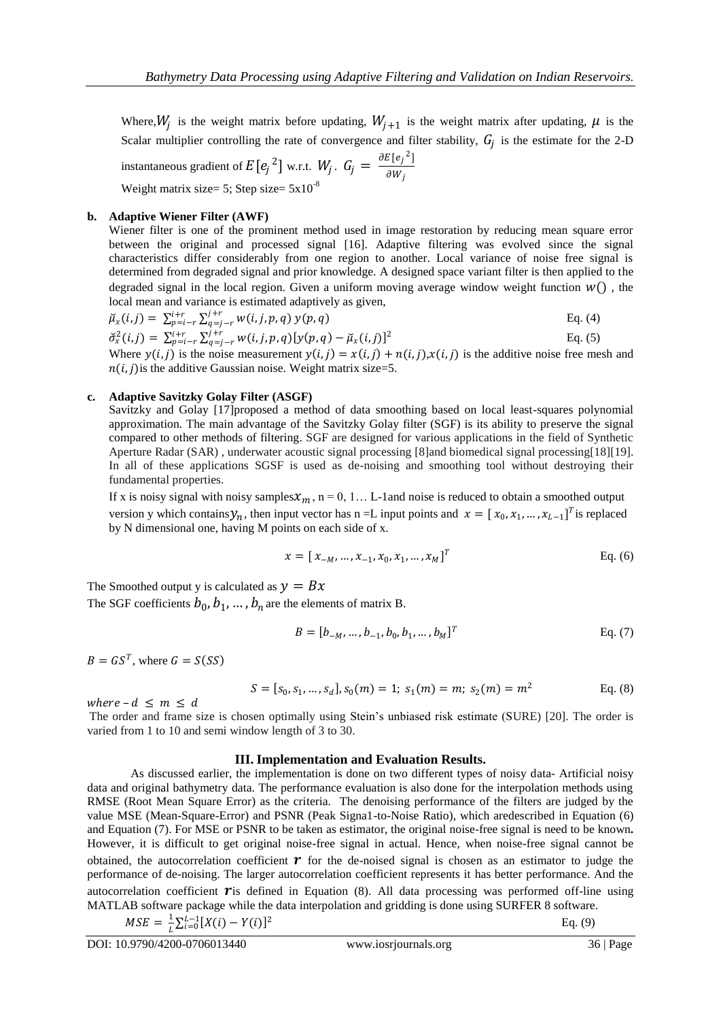Where,  $W_j$  is the weight matrix before updating,  $W_{j+1}$  is the weight matrix after updating,  $\mu$  is the Scalar multiplier controlling the rate of convergence and filter stability,  $G_j$  is the estimate for the 2-D instantaneous gradient of  $E[e_j^2]$  w.r.t.  $W_j$ .  $G_j = \frac{\partial E[e_j^2]}{\partial W_j}$  $\partial W_j$ 

Weight matrix size= 5; Step size=  $5x10^{-8}$ 

## **b. Adaptive Wiener Filter (AWF)**

Wiener filter is one of the prominent method used in image restoration by reducing mean square error between the original and processed signal [16]. Adaptive filtering was evolved since the signal characteristics differ considerably from one region to another. Local variance of noise free signal is determined from degraded signal and prior knowledge. A designed space variant filter is then applied to the degraded signal in the local region. Given a uniform moving average window weight function  $W()$ , the local mean and variance is estimated adaptively as given,

$$
\tilde{\mu}_x(i,j) = \sum_{p=i-r}^{i+r} \sum_{q=j-r}^{j+r} w(i,j,p,q) y(p,q)
$$
\n
$$
\tilde{\sigma}_x^2(i,j) = \sum_{p=i-r}^{i+r} \sum_{q=j-r}^{j+r} w(i,j,p,q) [y(p,q) - \tilde{\mu}_x(i,j)]^2
$$
\nEq. (5)

Where  $y(i, j)$  is the noise measurement  $y(i, j) = x(i, j) + n(i, j)x(i, j)$  is the additive noise free mesh and  $n(i, j)$  is the additive Gaussian noise. Weight matrix size=5.

## **c. Adaptive Savitzky Golay Filter (ASGF)**

Savitzky and Golay [17]proposed a method of data smoothing based on local least-squares polynomial approximation. The main advantage of the Savitzky Golay filter (SGF) is its ability to preserve the signal compared to other methods of filtering. SGF are designed for various applications in the field of Synthetic Aperture Radar (SAR) , underwater acoustic signal processing [8]and biomedical signal processing[18][19]. In all of these applications SGSF is used as de-noising and smoothing tool without destroying their fundamental properties.

If x is noisy signal with noisy samples  $x_m$ , n = 0, 1... L-1and noise is reduced to obtain a smoothed output version y which contains  $y_n$ , then input vector has n =L input points and  $x = [x_0, x_1, ..., x_{L-1}]^T$  is replaced by N dimensional one, having M points on each side of x.

$$
x = [x_{-M}, ..., x_{-1}, x_0, x_1, ..., x_M]^T
$$
 Eq. (6)

The Smoothed output y is calculated as  $y = Bx$ The SGF coefficients  $b_0, b_1, ..., b_n$  are the elements of matrix B.

$$
B = [b_{-M}, \dots, b_{-1}, b_0, b_1, \dots, b_M]^T
$$
 Eq. (7)

 $B = GS^T$ , where  $G = S(SS)$ 

$$
S = [s_0, s_1, \dots, s_d], s_0(m) = 1; s_1(m) = m; s_2(m) = m^2
$$
 Eq. (8)

where  $-d \leq m \leq d$ 

The order and frame size is chosen optimally using Stein's unbiased risk estimate (SURE) [20]. The order is varied from 1 to 10 and semi window length of 3 to 30.

### **III. Implementation and Evaluation Results.**

As discussed earlier, the implementation is done on two different types of noisy data- Artificial noisy data and original bathymetry data. The performance evaluation is also done for the interpolation methods using RMSE (Root Mean Square Error) as the criteria. The denoising performance of the filters are judged by the value MSE (Mean-Square-Error) and PSNR (Peak Signa1-to-Noise Ratio), which aredescribed in Equation (6) and Equation (7). For MSE or PSNR to be taken as estimator, the original noise-free signal is need to be known**.**  However, it is difficult to get original noise-free signal in actual. Hence, when noise-free signal cannot be obtained, the autocorrelation coefficient  $\boldsymbol{r}$  for the de-noised signal is chosen as an estimator to judge the performance of de-noising. The larger autocorrelation coefficient represents it has better performance. And the autocorrelation coefficient  $\boldsymbol{r}$  is defined in Equation (8). All data processing was performed off-line using MATLAB software package while the data interpolation and gridding is done using SURFER 8 software.

$$
MSE = \frac{1}{L} \sum_{i=0}^{L-1} [X(i) - Y(i)]^2
$$
 Eq. (9)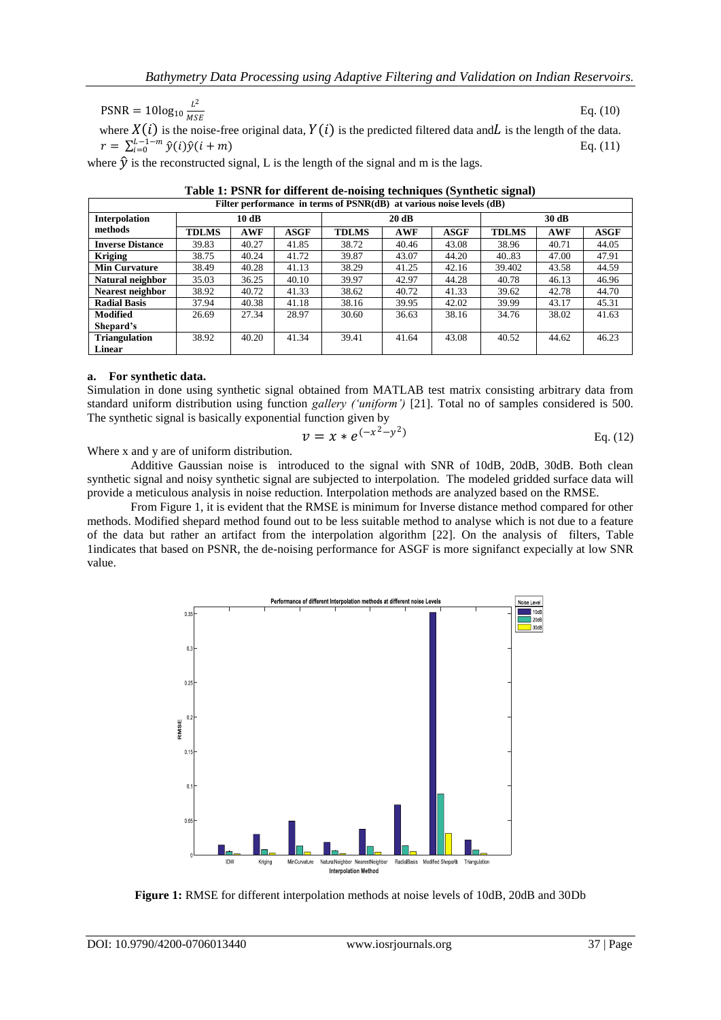$PSNR = 10log_{10} \frac{L^2}{MS}$ where  $X(i)$  is the noise-free original data,  $Y(i)$  is the predicted filtered data and is the length of the data. Eq. (10)

 $r = \sum_{i=0}^{L-1-m} \hat{y}(i)\hat{y}(i+m)$  Eq. (11)

where  $\hat{y}$  is the reconstructed signal, L is the length of the signal and m is the lags.

| Filter performance in terms of PSNR(dB) at various noise levels (dB) |              |            |             |              |            |       |              |            |             |
|----------------------------------------------------------------------|--------------|------------|-------------|--------------|------------|-------|--------------|------------|-------------|
| Interpolation                                                        | 10dB         |            |             | 20 dB        |            |       | 30 dB        |            |             |
| methods                                                              | <b>TDLMS</b> | <b>AWF</b> | <b>ASGF</b> | <b>TDLMS</b> | <b>AWF</b> | ASGF  | <b>TDLMS</b> | <b>AWF</b> | <b>ASGF</b> |
| <b>Inverse Distance</b>                                              | 39.83        | 40.27      | 41.85       | 38.72        | 40.46      | 43.08 | 38.96        | 40.71      | 44.05       |
| <b>Kriging</b>                                                       | 38.75        | 40.24      | 41.72       | 39.87        | 43.07      | 44.20 | 40.83        | 47.00      | 47.91       |
| <b>Min Curvature</b>                                                 | 38.49        | 40.28      | 41.13       | 38.29        | 41.25      | 42.16 | 39.402       | 43.58      | 44.59       |
| Natural neighbor                                                     | 35.03        | 36.25      | 40.10       | 39.97        | 42.97      | 44.28 | 40.78        | 46.13      | 46.96       |
| Nearest neighbor                                                     | 38.92        | 40.72      | 41.33       | 38.62        | 40.72      | 41.33 | 39.62        | 42.78      | 44.70       |
| <b>Radial Basis</b>                                                  | 37.94        | 40.38      | 41.18       | 38.16        | 39.95      | 42.02 | 39.99        | 43.17      | 45.31       |
| <b>Modified</b>                                                      | 26.69        | 27.34      | 28.97       | 30.60        | 36.63      | 38.16 | 34.76        | 38.02      | 41.63       |
| Shepard's                                                            |              |            |             |              |            |       |              |            |             |
| <b>Triangulation</b>                                                 | 38.92        | 40.20      | 41.34       | 39.41        | 41.64      | 43.08 | 40.52        | 44.62      | 46.23       |
| Linear                                                               |              |            |             |              |            |       |              |            |             |

| Table 1: PSNR for different de-noising techniques (Synthetic signal) |
|----------------------------------------------------------------------|
|----------------------------------------------------------------------|

### **a. For synthetic data.**

Simulation in done using synthetic signal obtained from MATLAB test matrix consisting arbitrary data from standard uniform distribution using function *gallery ('uniform')* [21]*.* Total no of samples considered is 500. The synthetic signal is basically exponential function given by

$$
v = x * e^{(-x^2 - y^2)}
$$
 Eq. (12)

Where x and y are of uniform distribution.

Additive Gaussian noise is introduced to the signal with SNR of 10dB, 20dB, 30dB. Both clean synthetic signal and noisy synthetic signal are subjected to interpolation. The modeled gridded surface data will provide a meticulous analysis in noise reduction. Interpolation methods are analyzed based on the RMSE.

From Figure 1, it is evident that the RMSE is minimum for Inverse distance method compared for other methods. Modified shepard method found out to be less suitable method to analyse which is not due to a feature of the data but rather an artifact from the interpolation algorithm [22]. On the analysis of filters, Table 1indicates that based on PSNR, the de-noising performance for ASGF is more signifanct expecially at low SNR value.



**Figure 1:** RMSE for different interpolation methods at noise levels of 10dB, 20dB and 30Db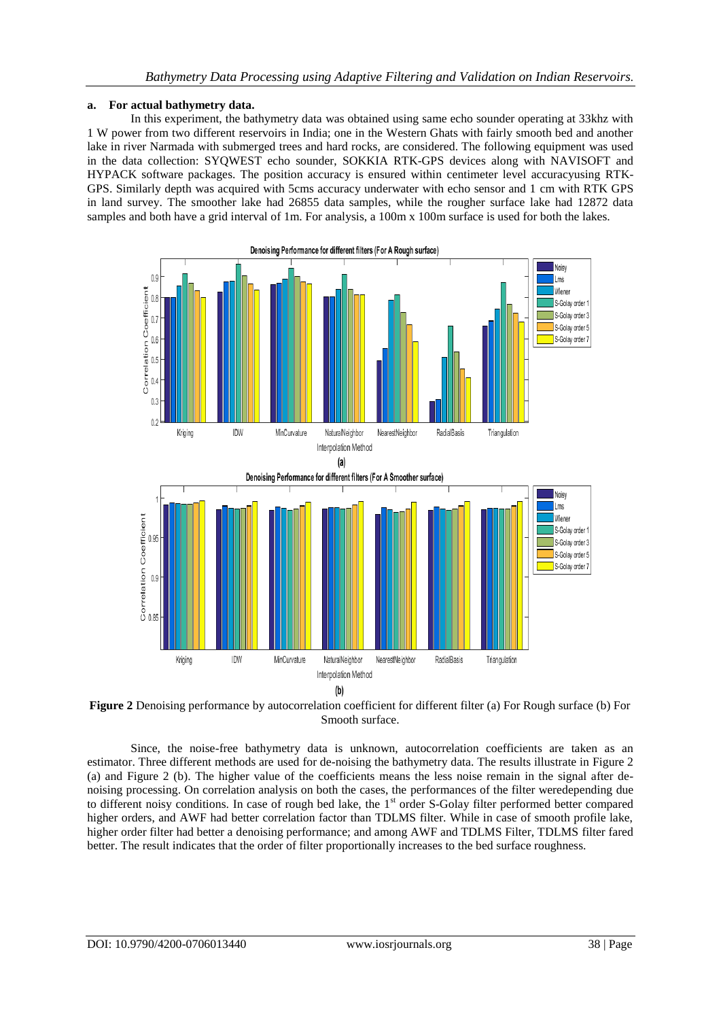## **a. For actual bathymetry data.**

In this experiment, the bathymetry data was obtained using same echo sounder operating at 33khz with 1 W power from two different reservoirs in India; one in the Western Ghats with fairly smooth bed and another lake in river Narmada with submerged trees and hard rocks, are considered. The following equipment was used in the data collection: SYQWEST echo sounder, SOKKIA RTK-GPS devices along with NAVISOFT and HYPACK software packages. The position accuracy is ensured within centimeter level accuracyusing RTK-GPS. Similarly depth was acquired with 5cms accuracy underwater with echo sensor and 1 cm with RTK GPS in land survey. The smoother lake had 26855 data samples, while the rougher surface lake had 12872 data samples and both have a grid interval of 1m. For analysis, a 100m x 100m surface is used for both the lakes.





**Figure 2** Denoising performance by autocorrelation coefficient for different filter (a) For Rough surface (b) For Smooth surface.

Since, the noise-free bathymetry data is unknown, autocorrelation coefficients are taken as an estimator. Three different methods are used for de-noising the bathymetry data. The results illustrate in Figure 2 (a) and Figure 2 (b). The higher value of the coefficients means the less noise remain in the signal after denoising processing. On correlation analysis on both the cases, the performances of the filter weredepending due to different noisy conditions. In case of rough bed lake, the 1<sup>st</sup> order S-Golay filter performed better compared higher orders, and AWF had better correlation factor than TDLMS filter. While in case of smooth profile lake, higher order filter had better a denoising performance; and among AWF and TDLMS Filter, TDLMS filter fared better. The result indicates that the order of filter proportionally increases to the bed surface roughness.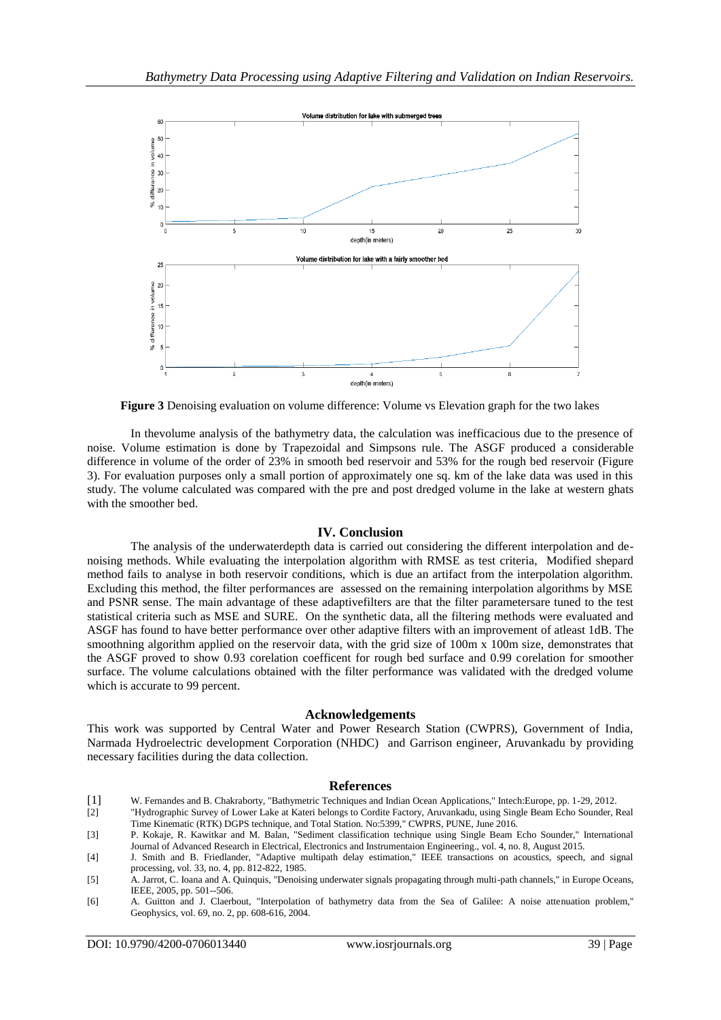

**Figure 3** Denoising evaluation on volume difference: Volume vs Elevation graph for the two lakes

In thevolume analysis of the bathymetry data, the calculation was inefficacious due to the presence of noise. Volume estimation is done by Trapezoidal and Simpsons rule. The ASGF produced a considerable difference in volume of the order of 23% in smooth bed reservoir and 53% for the rough bed reservoir (Figure 3). For evaluation purposes only a small portion of approximately one sq. km of the lake data was used in this study. The volume calculated was compared with the pre and post dredged volume in the lake at western ghats with the smoother bed.

### **IV. Conclusion**

The analysis of the underwaterdepth data is carried out considering the different interpolation and denoising methods. While evaluating the interpolation algorithm with RMSE as test criteria, Modified shepard method fails to analyse in both reservoir conditions, which is due an artifact from the interpolation algorithm. Excluding this method, the filter performances are assessed on the remaining interpolation algorithms by MSE and PSNR sense. The main advantage of these adaptivefilters are that the filter parametersare tuned to the test statistical criteria such as MSE and SURE. On the synthetic data, all the filtering methods were evaluated and ASGF has found to have better performance over other adaptive filters with an improvement of atleast 1dB. The smoothning algorithm applied on the reservoir data, with the grid size of 100m x 100m size, demonstrates that the ASGF proved to show 0.93 corelation coefficent for rough bed surface and 0.99 corelation for smoother surface. The volume calculations obtained with the filter performance was validated with the dredged volume which is accurate to 99 percent.

#### **Acknowledgements**

This work was supported by Central Water and Power Research Station (CWPRS), Government of India, Narmada Hydroelectric development Corporation (NHDC) and Garrison engineer, Aruvankadu by providing necessary facilities during the data collection.

#### **References**

- [1] W. Fernandes and B. Chakraborty, "Bathymetric Techniques and Indian Ocean Applications," Intech:Europe, pp. 1-29, 2012.
- [2] "Hydrographic Survey of Lower Lake at Kateri belongs to Cordite Factory, Aruvankadu, using Single Beam Echo Sounder, Real Time Kinematic (RTK) DGPS technique, and Total Station. No:5399," CWPRS, PUNE, June 2016.
- [3] P. Kokaje, R. Kawitkar and M. Balan, "Sediment classification technique using Single Beam Echo Sounder," International Journal of Advanced Research in Electrical, Electronics and Instrumentaion Engineering., vol. 4, no. 8, August 2015.
- [4] J. Smith and B. Friedlander, "Adaptive multipath delay estimation," IEEE transactions on acoustics, speech, and signal processing, vol. 33, no. 4, pp. 812-822, 1985.
- [5] A. Jarrot, C. Ioana and A. Quinquis, "Denoising underwater signals propagating through multi-path channels," in Europe Oceans, IEEE, 2005, pp. 501--506.
- [6] A. Guitton and J. Claerbout, "Interpolation of bathymetry data from the Sea of Galilee: A noise attenuation problem," Geophysics, vol. 69, no. 2, pp. 608-616, 2004.